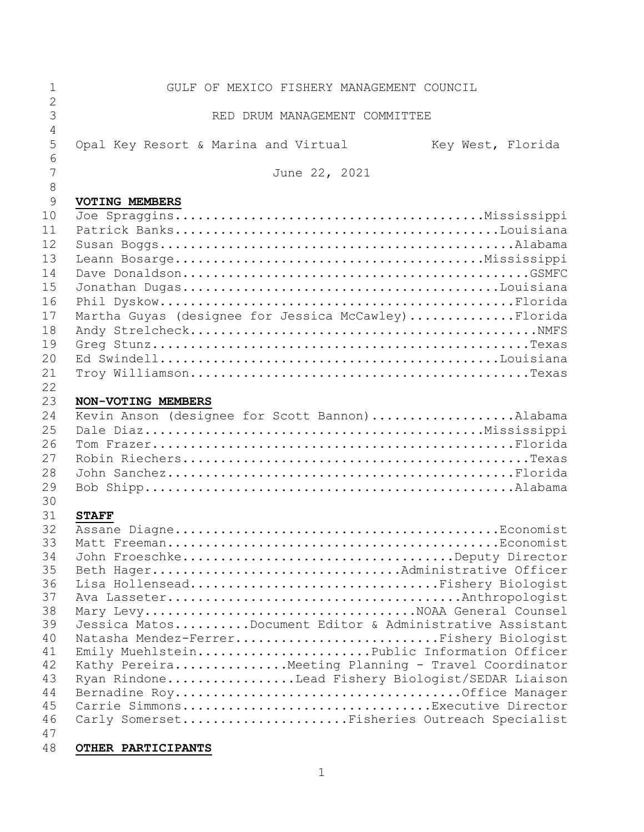| 1              | GULF OF MEXICO FISHERY MANAGEMENT COUNCIL                 |
|----------------|-----------------------------------------------------------|
| $\overline{2}$ |                                                           |
| 3              | RED DRUM MANAGEMENT COMMITTEE                             |
| 4              |                                                           |
| 5              | Opal Key Resort & Marina and Virtual<br>Key West, Florida |
| 6              |                                                           |
| 7              | June 22, 2021                                             |
| $8\,$          |                                                           |
| 9              | VOTING MEMBERS                                            |
| 10             |                                                           |
| 11             |                                                           |
| 12             |                                                           |
| 13             |                                                           |
| 14             |                                                           |
| 15             |                                                           |
| 16             |                                                           |
| 17             | Martha Guyas (designee for Jessica McCawley)Florida       |
| 18             |                                                           |
| 19             |                                                           |
| 20             |                                                           |
| 21             |                                                           |
| 22             |                                                           |
| 23             | NON-VOTING MEMBERS                                        |
| 24             | Kevin Anson (designee for Scott Bannon)Alabama            |
| 25             |                                                           |
| 26             |                                                           |
| 27             |                                                           |
| 28             |                                                           |
| 29             |                                                           |
| 30             |                                                           |
| 31             | <b>STAFF</b>                                              |
| 32<br>33       |                                                           |
| 34             | John FroeschkeDeputy Director                             |
| 35             | Beth HagerAdministrative Officer                          |
| 36             | Lisa HollenseadFishery Biologist                          |
| 37             |                                                           |
| 38             | Mary LevyNOAA General Counsel                             |
| 39             | Jessica MatosDocument Editor & Administrative Assistant   |
| 40             | Natasha Mendez-FerrerFishery Biologist                    |
| 41             | Emily MuehlsteinPublic Information Officer                |
| 42             | Kathy Pereira Meeting Planning - Travel Coordinator       |
| 43             | Ryan RindoneLead Fishery Biologist/SEDAR Liaison          |
| 44             |                                                           |
| 45             | Carrie SimmonsExecutive Director                          |
| 46             | Carly SomersetFisheries Outreach Specialist               |
| 47             |                                                           |
| 48             | OTHER PARTICIPANTS                                        |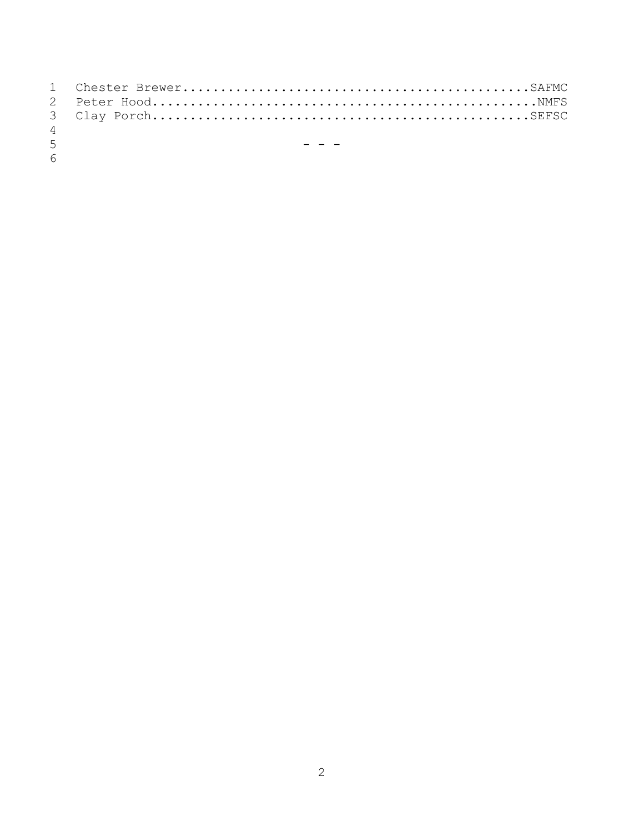| $\overline{4}$ |                                     |
|----------------|-------------------------------------|
| 5 <sup>7</sup> | 100 and 100 and 100 and 100 and 100 |
| 6              |                                     |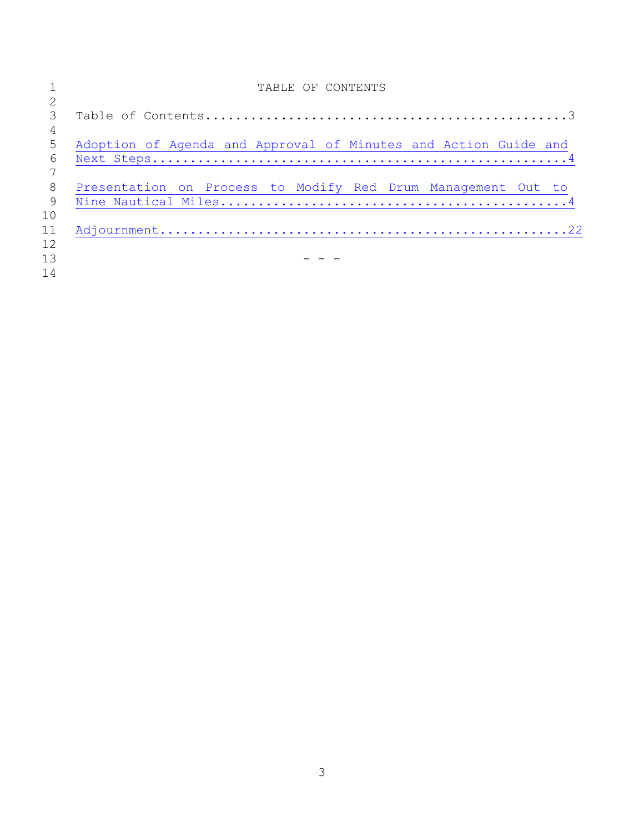|     | TABLE OF CONTENTS                                               |
|-----|-----------------------------------------------------------------|
|     |                                                                 |
|     |                                                                 |
| 4   |                                                                 |
| 5   | Adoption of Agenda and Approval of Minutes and Action Guide and |
| 6   |                                                                 |
|     |                                                                 |
| 8   | Presentation on Process to Modify Red Drum Management Out to    |
| - 9 |                                                                 |
| 10  |                                                                 |
| 11  |                                                                 |
| 12  |                                                                 |
| 13  |                                                                 |
| 14  |                                                                 |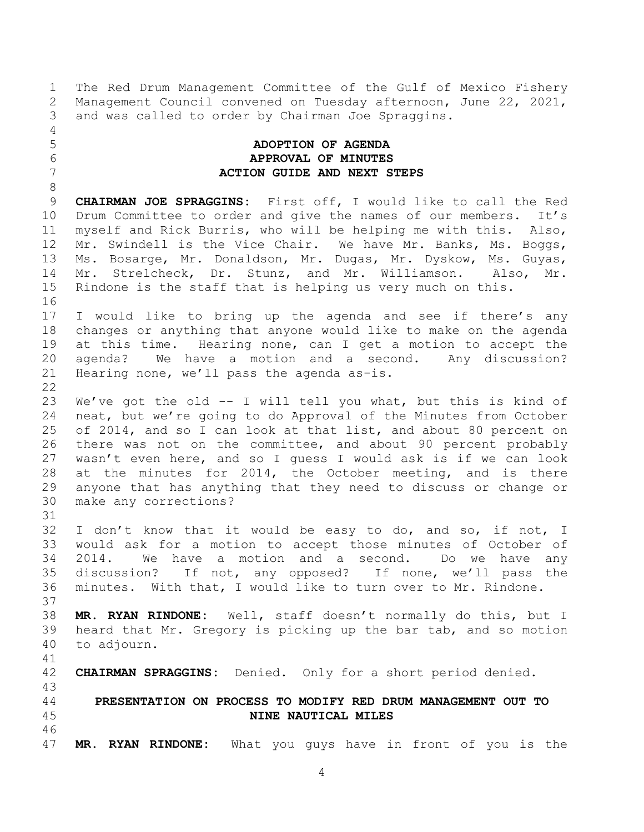1 The Red Drum Management Committee of the Gulf of Mexico Fishery<br>2 Management Council convened on Tuesday afternoon, June 22, 2021, 2 Management Council convened on Tuesday afternoon, June 22, 2021,<br>3 and was called to order by Chairman Joe Spraggins. and was called to order by Chairman Joe Spraggins.

4<br>5

31

### <span id="page-3-0"></span>5 **ADOPTION OF AGENDA** 6 **APPROVAL OF MINUTES** 7 **ACTION GUIDE AND NEXT STEPS**

8<br>9 9 **CHAIRMAN JOE SPRAGGINS:** First off, I would like to call the Red 10 Drum Committee to order and give the names of our members. It's<br>11 myself and Rick Burris, who will be helping me with this. Also, 11 myself and Rick Burris, who will be helping me with this. Also,<br>12 Mr. Swindell is the Vice Chair. We have Mr. Banks, Ms. Boggs, 12 Mr. Swindell is the Vice Chair. We have Mr. Banks, Ms. Boggs,<br>13 Ms. Bosarge, Mr. Donaldson, Mr. Dugas, Mr. Dyskow, Ms. Guyas, 13 Ms. Bosarge, Mr. Donaldson, Mr. Dugas, Mr. Dyskow, Ms. Guyas,<br>14 Mr. Strelcheck, Dr. Stunz, and Mr. Williamson. Also, Mr. 14 Mr. Strelcheck, Dr. Stunz, and Mr. Williamson. Also, Mr.<br>15 Rindone is the staff that is helping us very much on this. Rindone is the staff that is helping us very much on this. 16

17 I would like to bring up the agenda and see if there's any 18 changes or anything that anyone would like to make on the agenda<br>19 at this time. Hearing none, can I get a motion to accept the 19 at this time. Hearing none, can I get a motion to accept the<br>20 agenda? We have a motion and a second. Any discussion? 20 agenda? We have a motion and a second. Any discussion?<br>21 Hearing none, we'll pass the agenda as-is. Hearing none, we'll pass the agenda as-is.

 $\frac{22}{23}$ 23 We've got the old -- I will tell you what, but this is kind of<br>24 neat, but we're going to do Approval of the Minutes from October neat, but we're going to do Approval of the Minutes from October 25 of 2014, and so I can look at that list, and about 80 percent on<br>26 there was not on the committee, and about 90 percent probably 26 there was not on the committee, and about 90 percent probably<br>27 wasn't even here, and so I quess I would ask is if we can look 27 wasn't even here, and so I guess I would ask is if we can look<br>28 at the minutes for 2014, the October meeting, and is there 28 at the minutes for 2014, the October meeting, and is there<br>29 anvone that has anvthing that thev need to discuss or change or 29 anyone that has anything that they need to discuss or change or make any corrections?

32 I don't know that it would be easy to do, and so, if not, I 33 would ask for a motion to accept those minutes of October of<br>34 2014. We have a motion and a second. Do we have any 34 2014. We have a motion and a second. Do we have any<br>35 discussion? If not, any opposed? If none, we'll pass the 35 discussion? If not, any opposed? If none, we'll pass the<br>36 minutes. With that, I would like to turn over to Mr. Rindone. minutes. With that, I would like to turn over to Mr. Rindone.

37<br>38 38 **MR. RYAN RINDONE:** Well, staff doesn't normally do this, but I heard that Mr. Gregory is picking up the bar tab, and so motion 40 to adjourn.

41<br>42 42 **CHAIRMAN SPRAGGINS:** Denied. Only for a short period denied.

<span id="page-3-1"></span>43 44 **PRESENTATION ON PROCESS TO MODIFY RED DRUM MANAGEMENT OUT TO** 45 **NINE NAUTICAL MILES**

46<br>47 MR. RYAN RINDONE: What you guys have in front of you is the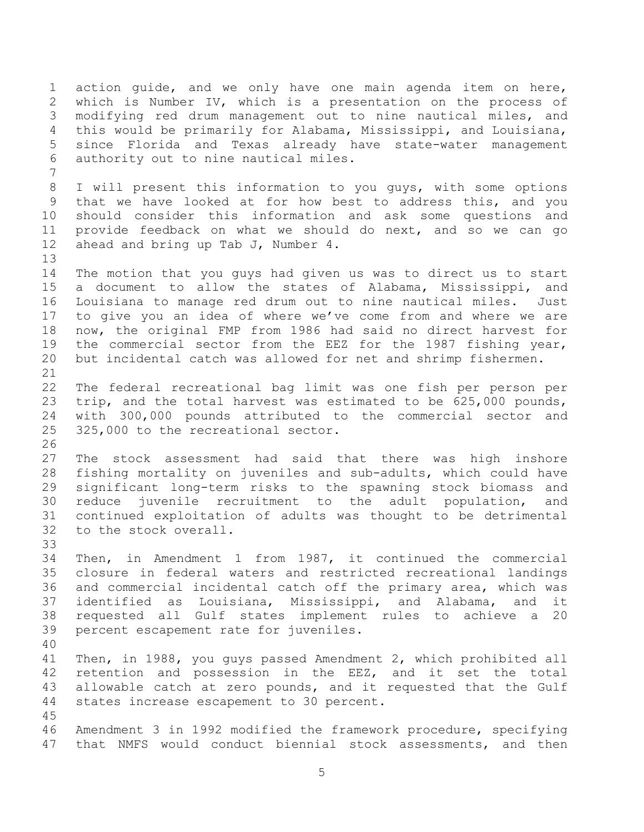1 action guide, and we only have one main agenda item on here,<br>2 which is Number IV, which is a presentation on the process of 2 which is Number IV, which is a presentation on the process of<br>3 modifying red drum management out to nine nautical miles, and modifying red drum management out to nine nautical miles, and 4 this would be primarily for Alabama, Mississippi, and Louisiana,<br>5 since Florida and Texas already have state-water management 5 since Florida and Texas already have state-water management<br>6 authority out to nine nautical miles. authority out to nine nautical miles. 7 8 I will present this information to you guys, with some options<br>9 that we have looked at for how best to address this, and you 9 that we have looked at for how best to address this, and you<br>10 should consider this information and ask some questions and 10 should consider this information and ask some questions and<br>11 provide feedback on what we should do next, and so we can go 11 provide feedback on what we should do next, and so we can go<br>12 ahead and bring up Tab J. Number 4. ahead and bring up Tab J, Number  $4$ . 13<br>14 14 The motion that you guys had given us was to direct us to start<br>15 a document to allow the states of Alabama, Mississippi, and a document to allow the states of Alabama, Mississippi, and 16 Louisiana to manage red drum out to nine nautical miles. Just 17 to give you an idea of where we've come from and where we are 18 now, the original FMP from 1986 had said no direct harvest for<br>19 the commercial sector from the EEZ for the 1987 fishing vear, 19 the commercial sector from the EEZ for the 1987 fishing year,<br>20 but incidental catch was allowed for net and shrimp fishermen. but incidental catch was allowed for net and shrimp fishermen. 21<br>22 22 The federal recreational bag limit was one fish per person per<br>23 trip, and the total harvest was estimated to be 625,000 pounds, 23 trip, and the total harvest was estimated to be 625,000 pounds,<br>24 with 300,000 pounds attributed to the commercial sector and with 300,000 pounds attributed to the commercial sector and 25 325,000 to the recreational sector.  $\frac{26}{27}$ 27 The stock assessment had said that there was high inshore<br>28 fishing mortality on juveniles and sub-adults, which could have 28 fishing mortality on juveniles and sub-adults, which could have<br>29 significant long-term risks to the spawning stock biomass and 29 significant long-term risks to the spawning stock biomass and<br>30 reduce juvenile recruitment to the adult population, and 30 reduce juvenile recruitment to the adult population, and<br>31 continued exploitation of adults was thought to be detrimental continued exploitation of adults was thought to be detrimental 32 to the stock overall. 33<br>34 34 Then, in Amendment 1 from 1987, it continued the commercial<br>35 closure in federal waters and restricted recreational landings 35 closure in federal waters and restricted recreational landings<br>36 and commercial incidental catch off the primary area, which was 36 and commercial incidental catch off the primary area, which was<br>37 identified as Louisiana, Mississippi, and Alabama, and it 37 identified as Louisiana, Mississippi, and Alabama, and it<br>38 requested all Gulf states implement rules to achieve a 20 38 requested all Gulf states implement rules to achieve a 20 percent escapement rate for juveniles. 40 41 Then, in 1988, you guys passed Amendment 2, which prohibited all<br>42 retention and possession in the EEZ, and it set the total 42 retention and possession in the EEZ, and it set the total<br>43 allowable catch at zero pounds, and it requested that the Gulf 43 allowable catch at zero pounds, and it requested that the Gulf<br>44 states increase escapement to 30 percent. states increase escapement to 30 percent.  $\frac{45}{46}$ 46 Amendment 3 in 1992 modified the framework procedure, specifying<br>47 that NMFS would conduct biennial stock assessments, and then that NMFS would conduct biennial stock assessments, and then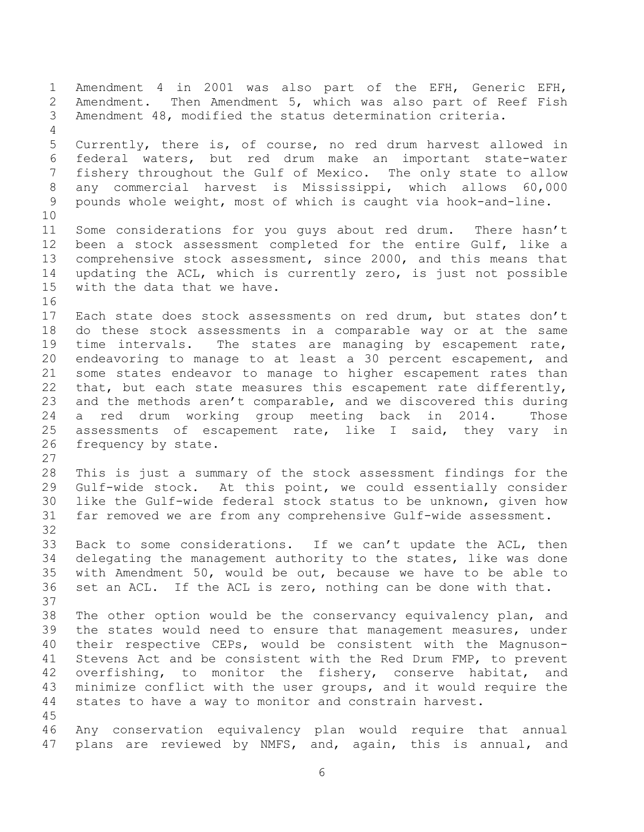1 Amendment 4 in 2001 was also part of the EFH, Generic EFH,<br>2 Amendment. Then Amendment 5, which was also part of Reef Fish 2 Amendment. Then Amendment 5, which was also part of Reef Fish<br>3 Amendment 48, modified the status determination criteria. Amendment 48, modified the status determination criteria. 4<br>5 5 Currently, there is, of course, no red drum harvest allowed in<br>6 federal waters, but red drum make an important state-water 6 federal waters, but red drum make an important state-water fishery throughout the Gulf of Mexico. The only state to allow 8 any commercial harvest is Mississippi, which allows 60,000<br>9 pounds whole weight, most of which is caught via hook-and-line. pounds whole weight, most of which is caught via hook-and-line. 10<br>11 11 Some considerations for you guys about red drum. There hasn't<br>12 been a stock assessment completed for the entire Gulf, like a 12 been a stock assessment completed for the entire Gulf, like a<br>13 comprehensive stock assessment, since 2000, and this means that 13 comprehensive stock assessment, since 2000, and this means that<br>14 updating the ACL, which is currently zero, is just not possible 14 updating the ACL, which is currently zero, is just not possible<br>15 with the data that we have. with the data that we have. 16<br>17 Each state does stock assessments on red drum, but states don't 18 do these stock assessments in a comparable way or at the same<br>19 time intervals. The states are managing by escapement rate, 19 time intervals. The states are managing by escapement rate,<br>20 endeavoring to manage to at least a 30 percent escapement, and 20 endeavoring to manage to at least a 30 percent escapement, and<br>21 some states endeavor to manage to higher escapement rates than 21 some states endeavor to manage to higher escapement rates than<br>22 that, but each state measures this escapement rate differently, 22 that, but each state measures this escapement rate differently,<br>23 and the methods aren't comparable, and we discovered this during 23 and the methods aren't comparable, and we discovered this during<br>24 a red drum working group meeting back in 2014. Those a red drum working group meeting back in 2014. 25 assessments of escapement rate, like I said, they vary in<br>26 frequency by state. frequency by state. 27<br>28 28 This is just a summary of the stock assessment findings for the<br>29 Gulf-wide stock. At this point, we could essentially consider 29 Gulf-wide stock. At this point, we could essentially consider<br>30 like the Gulf-wide federal stock status to be unknown, given how 30 like the Gulf-wide federal stock status to be unknown, given how<br>31 far removed we are from any comprehensive Gulf-wide assessment. far removed we are from any comprehensive Gulf-wide assessment. 32<br>33 33 Back to some considerations. If we can't update the ACL, then<br>34 delegating the management authority to the states, like was done 34 delegating the management authority to the states, like was done<br>35 with Amendment 50, would be out, because we have to be able to 35 with Amendment 50, would be out, because we have to be able to<br>36 set an ACL. If the ACL is zero, nothing can be done with that. set an ACL. If the ACL is zero, nothing can be done with that. 37<br>38 38 The other option would be the conservancy equivalency plan, and<br>39 the states would need to ensure that management measures, under the states would need to ensure that management measures, under 40 their respective CEPs, would be consistent with the Magnuson-<br>41 Stevens Act and be consistent with the Red Drum FMP, to prevent 41 Stevens Act and be consistent with the Red Drum FMP, to prevent<br>42 overfishing, to monitor the fishery, conserve habitat, and 42 overfishing, to monitor the fishery, conserve habitat, and<br>43 minimize conflict with the user groups, and it would require the 43 minimize conflict with the user groups, and it would require the 44 states to have a way to monitor and constrain harvest. states to have a way to monitor and constrain harvest. 45<br>46 46 Any conservation equivalency plan would require that annual<br>47 plans are reviewed by NMFS, and, again, this is annual, and plans are reviewed by NMFS, and, again, this is annual,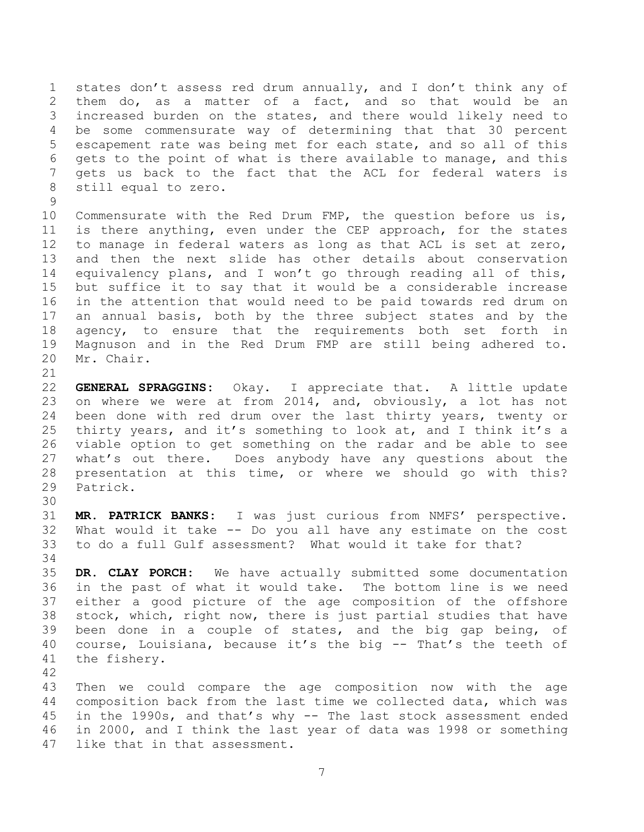1 states don't assess red drum annually, and I don't think any of 2 them do, as a matter of a fact, and so that would be an<br>3 increased burden on the states, and there would likely need to increased burden on the states, and there would likely need to 4 be some commensurate way of determining that that 30 percent<br>5 escapement rate was being met for each state, and so all of this escapement rate was being met for each state, and so all of this 6 gets to the point of what is there available to manage, and this<br>7 gets us back to the fact that the ACL for federal waters is gets us back to the fact that the ACL for federal waters is 8 still equal to zero.

 $\frac{9}{10}$ 10 Commensurate with the Red Drum FMP, the question before us is,<br>11 is there anything, even under the CEP approach, for the states 11 is there anything, even under the CEP approach, for the states<br>12 to manage in federal waters as long as that ACL is set at zero, 12 to manage in federal waters as long as that ACL is set at zero,<br>13 and then the next slide has other details about conservation 13 and then the next slide has other details about conservation<br>14 equivalency plans, and I won't go through reading all of this, 14 equivalency plans, and I won't go through reading all of this,<br>15 but suffice it to say that it would be a considerable increase but suffice it to say that it would be a considerable increase 16 in the attention that would need to be paid towards red drum on 17 an annual basis, both by the three subject states and by the 18 agency, to ensure that the requirements both set forth in<br>19 Magnuson and in the Red Drum FMP are still being adhered to. 19 Magnuson and in the Red Drum FMP are still being adhered to.<br>20 Mr. Chair. Mr. Chair.

21<br>22 22 **GENERAL SPRAGGINS:** Okay. I appreciate that. A little update 23 on where we were at from 2014, and, obviously, a lot has not<br>24 been done with red drum over the last thirty years, twenty or been done with red drum over the last thirty years, twenty or 25 thirty years, and it's something to look at, and I think it's a<br>26 viable option to get something on the radar and be able to see 26 viable option to get something on the radar and be able to see<br>27 what's out there. Does anybody have any questions about the 27 what's out there. Does anybody have any questions about the<br>28 presentation at this time, or where we should go with this? 28 presentation at this time, or where we should go with this?<br>29 Patrick. Patrick.

30<br>31 31 **MR. PATRICK BANKS:** I was just curious from NMFS' perspective. 32 What would it take -- Do you all have any estimate on the cost to do a full Gulf assessment? What would it take for that?

34<br>35 35 **DR. CLAY PORCH:** We have actually submitted some documentation 36 in the past of what it would take. The bottom line is we need<br>37 either a good picture of the age composition of the offshore 37 either a good picture of the age composition of the offshore<br>38 stock, which, right now, there is just partial studies that have 38 stock, which, right now, there is just partial studies that have<br>39 been done in a couple of states, and the big gap being, of been done in a couple of states, and the big gap being, of 40 course, Louisiana, because it's the big  $-$  That's the teeth of 41 the fishery. the fishery.

42 43 Then we could compare the age composition now with the age<br>44 composition back from the last time we collected data, which was 44 composition back from the last time we collected data, which was<br>45 in the 1990s, and that's why -- The last stock assessment ended 45 in the 1990s, and that's why -- The last stock assessment ended<br>46 in 2000, and I think the last year of data was 1998 or something 46 in 2000, and I think the last year of data was 1998 or something<br>47 like that in that assessment. like that in that assessment.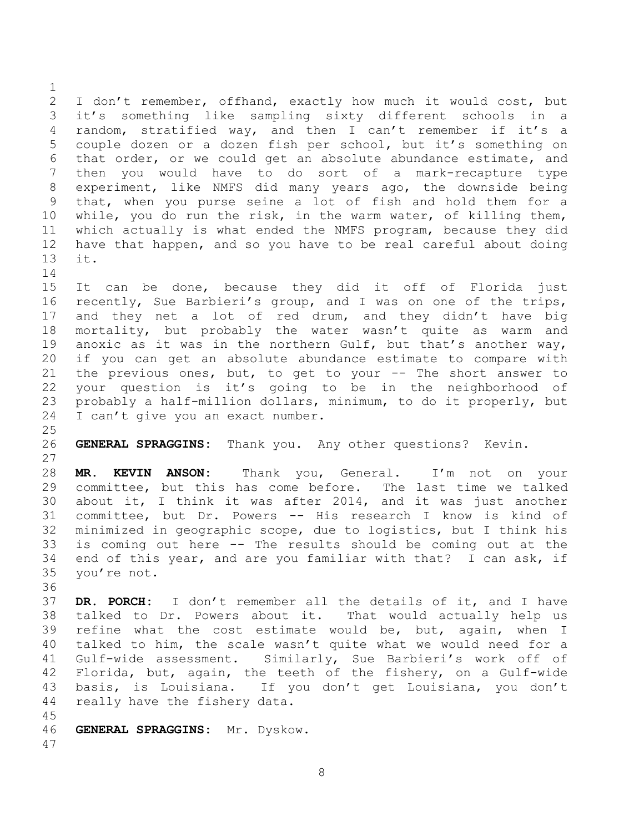$\frac{1}{2}$ 2 I don't remember, offhand, exactly how much it would cost, but<br>3 it's something like sampling sixty different schools in a it's something like sampling sixty different schools in a 4 random, stratified way, and then I can't remember if it's a<br>5 couple dozen or a dozen fish per school, but it's something on couple dozen or a dozen fish per school, but it's something on 6 that order, or we could get an absolute abundance estimate, and<br>7 then you would have to do sort of a mark-recapture type then you would have to do sort of a mark-recapture type 8 experiment, like NMFS did many years ago, the downside being<br>9 that, when you purse seine a lot of fish and hold them for a 9 that, when you purse seine a lot of fish and hold them for a<br>10 while, you do run the risk, in the warm water, of killing them, 10 while, you do run the risk, in the warm water, of killing them,<br>11 which actually is what ended the NMFS program, because they did 11 which actually is what ended the NMFS program, because they did<br>12 have that happen, and so vou have to be real careful about doing 12 have that happen, and so you have to be real careful about doing<br>13 it. it.

 $\begin{array}{c} 14 \\ 15 \end{array}$ 15 It can be done, because they did it off of Florida just<br>16 recently, Sue Barbieri's group, and I was on one of the trips, recently, Sue Barbieri's group, and I was on one of the trips, 17 and they net a lot of red drum, and they didn't have big 18 mortality, but probably the water wasn't quite as warm and<br>19 anoxic as it was in the northern Gulf, but that's another wav, 19 anoxic as it was in the northern Gulf, but that's another way,<br>20 if you can get an absolute abundance estimate to compare with 20 if you can get an absolute abundance estimate to compare with<br>21 the previous ones, but, to get to your -- The short answer to 21 the previous ones, but, to get to your -- The short answer to<br>22 your question is it's going to be in the neighborhood of 22 your question is it's going to be in the neighborhood of<br>23 probably a half-million dollars, minimum, to do it properly, but 23 probably a half-million dollars, minimum, to do it properly, but  $24$  I can't give you an exact number. I can't give you an exact number.

 $\frac{25}{26}$ GENERAL SPRAGGINS: Thank you. Any other questions? Kevin.

27<br>28 28 **MR. KEVIN ANSON:** Thank you, General. I'm not on your 29 committee, but this has come before. The last time we talked<br>30 about it, I think it was after 2014, and it was just another 30 about it, I think it was after 2014, and it was just another<br>31 committee, but Dr. Powers -- His research I know is kind of committee, but Dr. Powers -- His research I know is kind of 32 minimized in geographic scope, due to logistics, but I think his 33 is coming out here -- The results should be coming out at the<br>34 end of this year, and are you familiar with that? I can ask, if 34 end of this year, and are you familiar with that? I can ask, if 35 you're not. you're not.

36<br>37 37 **DR. PORCH:** I don't remember all the details of it, and I have 38 talked to Dr. Powers about it.<br>39 refine what the cost estimate w refine what the cost estimate would be, but, again, when I 40 talked to him, the scale wasn't quite what we would need for a<br>41 Gulf-wide assessment. Similarly, Sue Barbieri's work off of 41 Gulf-wide assessment. Similarly, Sue Barbieri's work off of<br>42 Florida, but, again, the teeth of the fishery, on a Gulf-wide 42 Florida, but, again, the teeth of the fishery, on a Gulf-wide<br>43 basis, is Louisiana. If you don't get Louisiana, you don't 43 basis, is Louisiana. If you don't get Louisiana, you don't<br>44 really have the fisherv data. really have the fishery data.

45<br>46 46 **GENERAL SPRAGGINS:** Mr. Dyskow. 47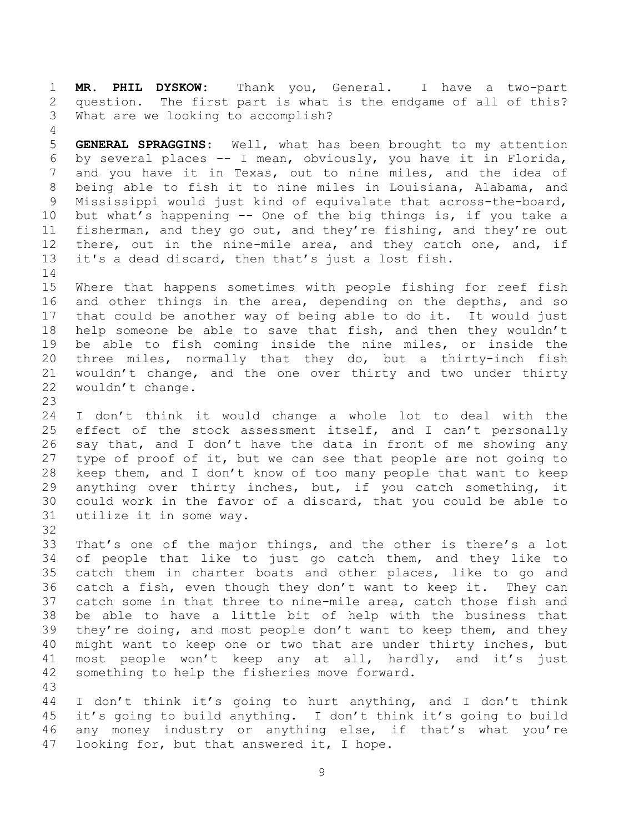1 **MR. PHIL DYSKOW:** Thank you, General. I have a two-part 2 question. The first part is what is the endgame of all of this?<br>3 What are we looking to accomplish? What are we looking to accomplish?

4<br>5 5 **GENERAL SPRAGGINS:** Well, what has been brought to my attention 6 by several places -- I mean, obviously, you have it in Florida, and you have it in Texas, out to nine miles, and the idea of 8 being able to fish it to nine miles in Louisiana, Alabama, and<br>9 Mississippi would just kind of equivalate that across-the-board, 9 Mississippi would just kind of equivalate that across-the-board,<br>10 but what's happening -- One of the big things is, if you take a 10 but what's happening -- One of the big things is, if you take a<br>11 fisherman, and they go out, and they're fishing, and they're out 11 fisherman, and they go out, and they're fishing, and they're out<br>12 there, out in the nine-mile area, and they catch one, and, if 12 there, out in the nine-mile area, and they catch one, and, if<br>13 it's a dead discard, then that's just a lost fish. it's a dead discard, then that's just a lost fish.

 $\begin{array}{c} 14 \\ 15 \end{array}$ Where that happens sometimes with people fishing for reef fish 16 and other things in the area, depending on the depths, and so 17 that could be another way of being able to do it. It would just 18 help someone be able to save that fish, and then they wouldn't<br>19 be able to fish coming inside the nine miles, or inside the 19 be able to fish coming inside the nine miles, or inside the<br>20 three miles, normally that they do, but a thirty-inch fish 20 three miles, normally that they do, but a thirty-inch fish<br>21 wouldn't change, and the one over thirty and two under thirty 21 wouldn't change, and the one over thirty and two under thirty<br>22 wouldn't change. wouldn't change.

23 I don't think it would change a whole lot to deal with the 25 effect of the stock assessment itself, and I can't personally<br>26 say that, and I don't have the data in front of me showing any 26 say that, and I don't have the data in front of me showing any<br>27 type of proof of it, but we can see that people are not going to 27 type of proof of it, but we can see that people are not going to<br>28 keep them, and I don't know of too many people that want to keep 28 keep them, and I don't know of too many people that want to keep<br>29 anvthing over thirty inches, but, if you catch something, it 29 anything over thirty inches, but, if you catch something, it<br>30 could work in the favor of a discard, that you could be able to 30 could work in the favor of a discard, that you could be able to  $31$  utilize it in some way. utilize it in some way.

32<br>33

33 That's one of the major things, and the other is there's a lot<br>34 of people that like to just go catch them, and they like to 34 of people that like to just go catch them, and they like to<br>35 catch them in charter boats and other places, like to go and 35 catch them in charter boats and other places, like to go and<br>36 catch a fish, even though they don't want to keep it. They can 36 catch a fish, even though they don't want to keep it. They can<br>37 catch some in that three to nine-mile area, catch those fish and 37 catch some in that three to nine-mile area, catch those fish and<br>38 be able to have a little bit of help with the business that 38 be able to have a little bit of help with the business that<br>39 they're doing, and most people don't want to keep them, and they they're doing, and most people don't want to keep them, and they 40 might want to keep one or two that are under thirty inches, but<br>41 most people won't keep any at all, hardly, and it's just 41 most people won't keep any at all, hardly, and it's just<br>42 something to help the fisheries move forward. something to help the fisheries move forward.

43 44 I don't think it's going to hurt anything, and I don't think<br>45 it's going to build anything. I don't think it's going to build 45 it's going to build anything. I don't think it's going to build<br>46 any money industry or anything else, if that's what you're 46 any money industry or anything else, if that's what you're<br>47 looking for, but that answered it, I hope. looking for, but that answered it, I hope.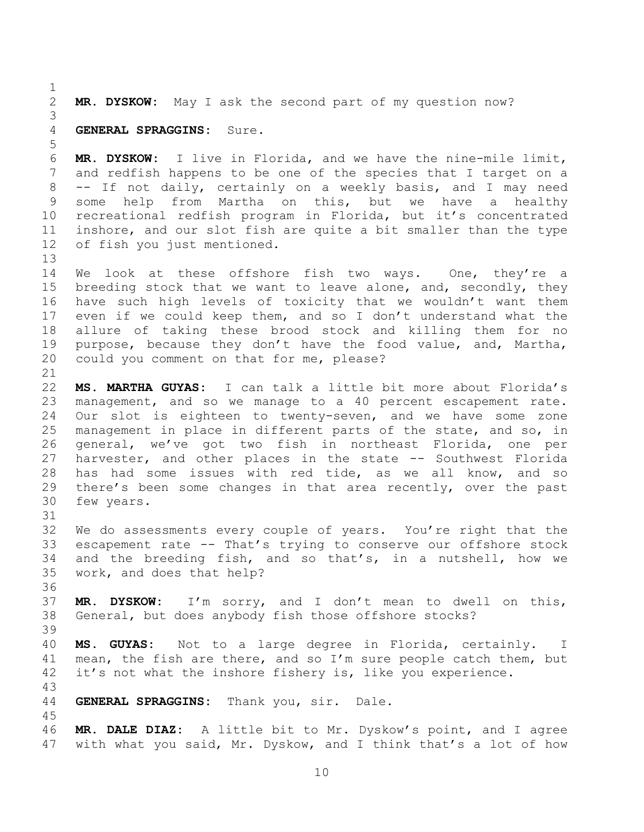$\frac{1}{2}$ 2 **MR. DYSKOW:** May I ask the second part of my question now?

## 3 4 **GENERAL SPRAGGINS:** Sure.

31

39

5 6 **MR. DYSKOW:** I live in Florida, and we have the nine-mile limit, and redfish happens to be one of the species that I target on a 8 -- If not daily, certainly on a weekly basis, and I may need<br>9 some help from Martha on this, but we have a healthy 9 some help from Martha on this, but we have a healthy<br>10 recreational redfish program in Florida, but it's concentrated 10 recreational redfish program in Florida, but it's concentrated<br>11 inshore, and our slot fish are quite a bit smaller than the type 11 inshore, and our slot fish are quite a bit smaller than the type<br>12 of fish vou just mentioned. of fish you just mentioned.

 $13$ <br> $14$ 14 We look at these offshore fish two ways. One, they're a<br>15 breeding stock that we want to leave alone, and, secondly, they breeding stock that we want to leave alone, and, secondly, they 16 have such high levels of toxicity that we wouldn't want them 17 even if we could keep them, and so I don't understand what the 18 allure of taking these brood stock and killing them for no<br>19 purpose, because they don't have the food value, and, Martha, 19 purpose, because they don't have the food value, and, Martha,<br>20 could you comment on that for me, please? could you comment on that for me, please?

21<br>22 22 **MS. MARTHA GUYAS:** I can talk a little bit more about Florida's 23 management, and so we manage to a 40 percent escapement rate.<br>24 Our slot is eighteen to twenty-seven, and we have some zone Our slot is eighteen to twenty-seven, and we have some zone 25 management in place in different parts of the state, and so, in<br>26 general, we've got two fish in northeast Florida, one per 26 general, we've got two fish in northeast Florida, one per<br>27 harvester, and other places in the state -- Southwest Florida 27 harvester, and other places in the state -- Southwest Florida<br>28 has had some issues with red tide, as we all know, and so 28 has had some issues with red tide, as we all know, and so<br>29 there's been some changes in that area recently, over the past 29 there's been some changes in that area recently, over the past<br>30 few vears. few years.

32 We do assessments every couple of years. You're right that the 33 escapement rate -- That's trying to conserve our offshore stock<br>34 and the breeding fish, and so that's, in a nutshell, how we 34 and the breeding fish, and so that's, in a nutshell, how we<br>35 work, and does that help? work, and does that help?

36<br>37 37 **MR. DYSKOW:** I'm sorry, and I don't mean to dwell on this, General, but does anybody fish those offshore stocks?

40 **MS. GUYAS:** Not to a large degree in Florida, certainly. I 41 mean, the fish are there, and so I'm sure people catch them, but  $42$  it's not what the inshore fishery is, like you experience. it's not what the inshore fishery is, like you experience.

43 GENERAL SPRAGGINS: Thank you, sir. Dale.

45<br>46 46 **MR. DALE DIAZ:** A little bit to Mr. Dyskow's point, and I agree with what you said, Mr. Dyskow, and I think that's a lot of how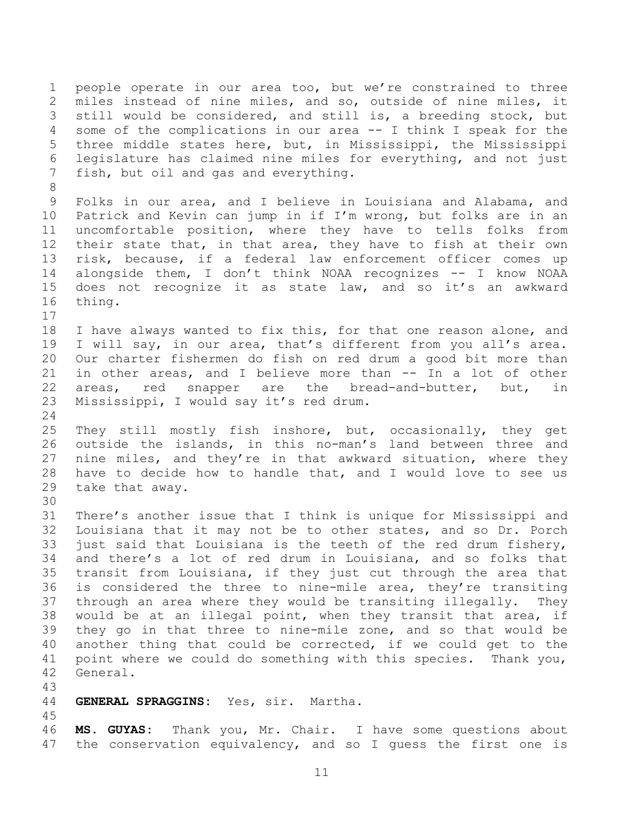1 people operate in our area too, but we're constrained to three 2 miles instead of nine miles, and so, outside of nine miles, it<br>3 still would be considered, and still is, a breeding stock, but still would be considered, and still is, a breeding stock, but 4 some of the complications in our area -- I think I speak for the<br>5 three middle states here, but, in Mississippi, the Mississippi three middle states here, but, in Mississippi, the Mississippi 6 legislature has claimed nine miles for everything, and not just<br>7 fish, but oil and gas and everything. fish, but oil and gas and everything.

8<br>9 Folks in our area, and I believe in Louisiana and Alabama, and 10 Patrick and Kevin can jump in if I'm wrong, but folks are in an<br>11 uncomfortable position, where thev have to tells folks from 11 uncomfortable position, where they have to tells folks from<br>12 their state that, in that area, they have to fish at their own 12 their state that, in that area, they have to fish at their own<br>13 risk, because, if a federal law enforcement officer comes up 13 risk, because, if a federal law enforcement officer comes up<br>14 alongside them, I don't think NOAA recognizes -- I know NOAA 14 alongside them, I don't think NOAA recognizes -- I know NOAA<br>15 does not recognize it as state law, and so it's an awkward does not recognize it as state law, and so it's an awkward 16 thing.

18 I have always wanted to fix this, for that one reason alone, and<br>19 I will sav, in our area, that's different from you all's area. 19 I will say, in our area, that's different from you all's area.<br>20 Our charter fishermen do fish on red drum a good bit more than 20 Our charter fishermen do fish on red drum a good bit more than<br>21 in other areas, and I believe more than -- In a lot of other 21 in other areas, and I believe more than -- In a lot of other<br>22 areas, red snapper are the bread-and-butter, but, in 22 areas, red snapper are the bread-and-butter, but, in<br>23 Mississippi, I would say it's red drum. Mississippi, I would say it's red drum.

25 They still mostly fish inshore, but, occasionally, they get<br>26 outside the islands, in this no-man's land between three and 26 outside the islands, in this no-man's land between three and<br>27 nine miles, and thev're in that awkward situation, where thev 27 nine miles, and they're in that awkward situation, where they<br>28 have to decide how to handle that, and I would love to see us 28 have to decide how to handle that, and I would love to see us<br>29 take that awav. take that away.

30<br>31 There's another issue that I think is unique for Mississippi and 32 Louisiana that it may not be to other states, and so Dr. Porch 33 just said that Louisiana is the teeth of the red drum fishery,<br>34 and there's a lot of red drum in Louisiana, and so folks that 34 and there's a lot of red drum in Louisiana, and so folks that<br>35 transit from Louisiana, if they just cut through the area that 35 transit from Louisiana, if they just cut through the area that<br>36 is considered the three to nine-mile area, they're transiting 36 is considered the three to nine-mile area, they're transiting<br>37 through an area where they would be transiting illegally. They 37 through an area where they would be transiting illegally. They<br>38 would be at an illegal point, when they transit that area, if 38 would be at an illegal point, when they transit that area, if<br>39 they go in that three to nine-mile zone, and so that would be they go in that three to nine-mile zone, and so that would be 40 another thing that could be corrected, if we could get to the 41 point where we could do something with this species. Thank you,<br>42 General. General.

43

17

24

#### GENERAL SPRAGGINS: Yes, sir. Martha.

45

46 **MS. GUYAS:** Thank you, Mr. Chair. I have some questions about the conservation equivalency, and so I quess the first one is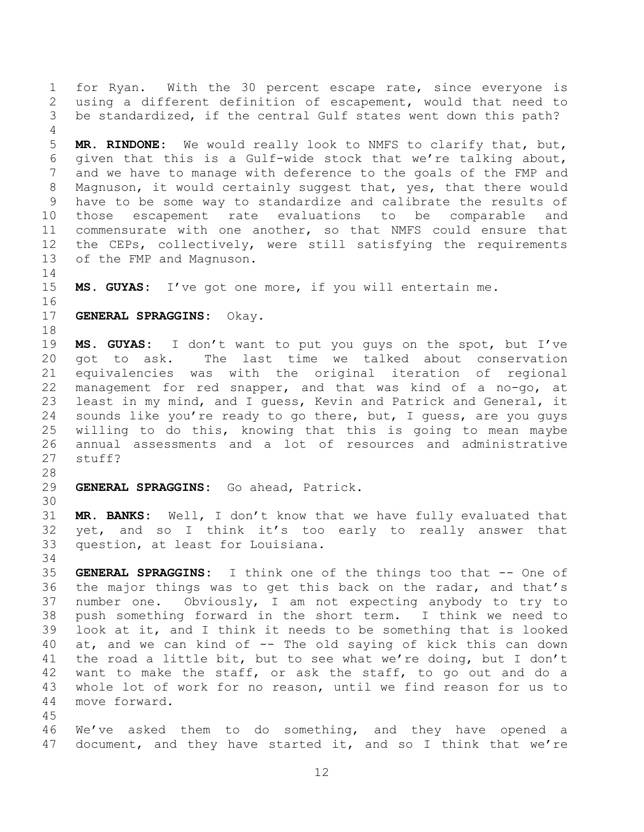1 for Ryan. With the 30 percent escape rate, since everyone is<br>2 using a different definition of escapement, would that need to 2 using a different definition of escapement, would that need to<br>3 be standardized, if the central Gulf states went down this path? be standardized, if the central Gulf states went down this path?

4<br>5 5 **MR. RINDONE:** We would really look to NMFS to clarify that, but, 6 given that this is a Gulf-wide stock that we're talking about, and we have to manage with deference to the goals of the FMP and 8 Magnuson, it would certainly suggest that, yes, that there would<br>9 have to be some way to standardize and calibrate the results of 9 have to be some way to standardize and calibrate the results of<br>10 those escapement rate evaluations to be comparable and 10 those escapement rate evaluations<br>11 commensurate with one another, so tha 11 commensurate with one another, so that NMFS could ensure that<br>12 the CEPs, collectively, were still satisfying the requirements 12 the CEPs, collectively, were still satisfying the requirements<br>13 of the FMP and Magnuson. of the FMP and Magnuson.

 $\begin{array}{c} 14 \\ 15 \end{array}$ MS. GUYAS: I've got one more, if you will entertain me.

16<br>17 17 **GENERAL SPRAGGINS:** Okay.

18<br>19 19 **MS. GUYAS:** I don't want to put you guys on the spot, but I've<br>20 got to ask. The last time we talked about conservation 20 got to ask. The last time we talked about conservation<br>21 equivalencies was with the original iteration of regional 21 equivalencies was with the original iteration of regional<br>22 management for red snapper, and that was kind of a no-go, at 22 management for red snapper, and that was kind of a no-go, at<br>23 least in my mind, and I quess, Kevin and Patrick and General, it 23 least in my mind, and I guess, Kevin and Patrick and General, it<br>24 sounds like you're ready to go there, but, I guess, are you guys sounds like you're ready to go there, but, I guess, are you guys 25 willing to do this, knowing that this is going to mean maybe<br>26 annual assessments and a lot of resources and administrative 26 annual assessments and a lot of resources and administrative<br>27 stuff? stuff?

28<br>29 GENERAL SPRAGGINS: Go ahead, Patrick.

30<br>31

MR. BANKS: Well, I don't know that we have fully evaluated that 32 yet, and so I think it's too early to really answer that<br>33 question, at least for Louisiana. question, at least for Louisiana.

34<br>35 35 **GENERAL SPRAGGINS:** I think one of the things too that -- One of 36 the major things was to get this back on the radar, and that's<br>37 number one. Obviously, I am not expecting anybody to try to 37 number one. Obviously, I am not expecting anybody to try to<br>38 push something forward in the short term. I think we need to 38 push something forward in the short term. I think we need to<br>39 look at it, and I think it needs to be something that is looked look at it, and I think it needs to be something that is looked 40 at, and we can kind of -- The old saying of kick this can down 41 the road a little bit, but to see what we're doing, but I don't<br>42 want to make the staff, or ask the staff, to go out and do a 42 want to make the staff, or ask the staff, to go out and do a<br>43 whole lot of work for no reason, until we find reason for us to 43 whole lot of work for no reason, until we find reason for us to 44 move forward. move forward.

45<br>46

46 We've asked them to do something, and they have opened a<br>47 document, and they have started it, and so I think that we're document, and they have started it, and so I think that we're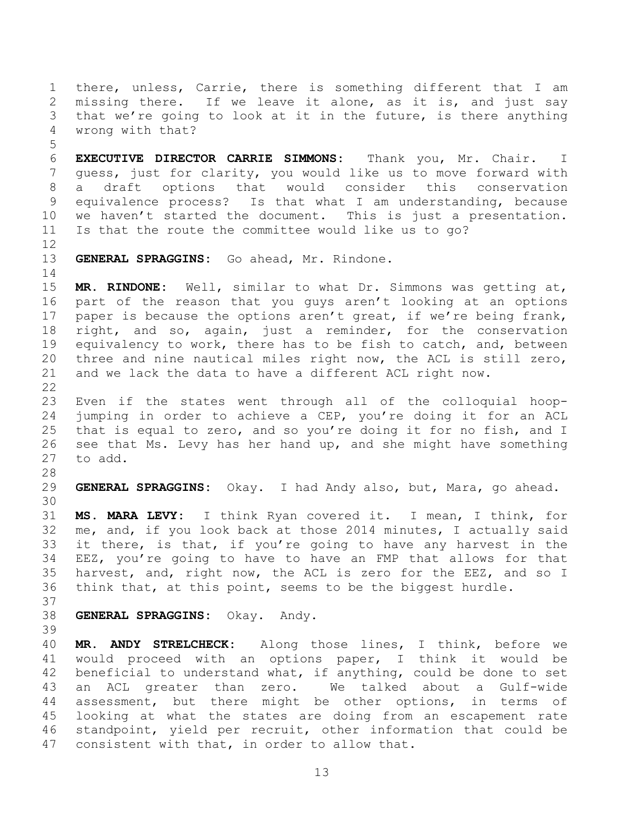1 there, unless, Carrie, there is something different that I am 2 missing there. If we leave it alone, as it is, and just say<br>3 that we're going to look at it in the future, is there anything 3 that we're going to look at it in the future, is there anything<br>4 wrong with that? wrong with that?

5 6 **EXECUTIVE DIRECTOR CARRIE SIMMONS:** Thank you, Mr. Chair. I guess, just for clarity, you would like us to move forward with 8 a draft options that would consider this conservation<br>9 equivalence process? Is that what I am understanding, because 9 equivalence process? Is that what I am understanding, because<br>10 we haven't started the document. This is just a presentation. 10 we haven't started the document. This is just a presentation.<br>11 Is that the route the committee would like us to go? Is that the route the committee would like us to go?

12<br>13

GENERAL SPRAGGINS: Go ahead, Mr. Rindone.

14<br>15 MR. RINDONE: Well, similar to what Dr. Simmons was getting at, 16 part of the reason that you guys aren't looking at an options 17 paper is because the options aren't great, if we're being frank, 18 right, and so, again, just a reminder, for the conservation<br>19 equivalency to work, there has to be fish to catch, and, between 19 equivalency to work, there has to be fish to catch, and, between<br>20 three and nine nautical miles right now, the ACL is still zero, 20 three and nine nautical miles right now, the ACL is still zero,<br>21 and we lack the data to have a different ACL right now. and we lack the data to have a different ACL right now.

 $\frac{22}{23}$ 23 Even if the states went through all of the colloquial hoop-<br>24 jumping in order to achieve a CEP, you're doing it for an ACL jumping in order to achieve a CEP, you're doing it for an ACL 25 that is equal to zero, and so you're doing it for no fish, and I<br>26 see that Ms. Levy has her hand up, and she might have something 26 see that Ms. Levy has her hand up, and she might have something<br>27 to add. to add.

28<br>29 GENERAL SPRAGGINS: Okay. I had Andy also, but, Mara, go ahead.

30<br>31 31 **MS. MARA LEVY:** I think Ryan covered it. I mean, I think, for 32 me, and, if you look back at those 2014 minutes, I actually said 33 it there, is that, if you're going to have any harvest in the<br>34 EEZ, you're going to have to have an FMP that allows for that 34 EEZ, you're going to have to have an FMP that allows for that<br>35 harvest, and, right now, the ACL is zero for the EEZ, and so I 35 harvest, and, right now, the ACL is zero for the EEZ, and so I<br>36 think that, at this point, seems to be the biggest hurdle. think that, at this point, seems to be the biggest hurdle.

37<br>38

38 **GENERAL SPRAGGINS:** Okay. Andy.

39

40 **MR. ANDY STRELCHECK:** Along those lines, I think, before we 41 would proceed with an options paper, I think it would be<br>42 beneficial to understand what, if anything, could be done to set 42 beneficial to understand what, if anything, could be done to set<br>43 an ACL greater than zero. We talked about a Gulf-wide 43 an ACL greater than zero. We talked about a Gulf-wide<br>44 assessment, but there might be other options, in terms of 44 assessment, but there might be other options, in terms of<br>45 looking at what the states are doing from an escapement rate 45 looking at what the states are doing from an escapement rate<br>46 standpoint, yield per recruit, other information that could be 46 standpoint, yield per recruit, other information that could be<br>47 consistent with that, in order to allow that. consistent with that, in order to allow that.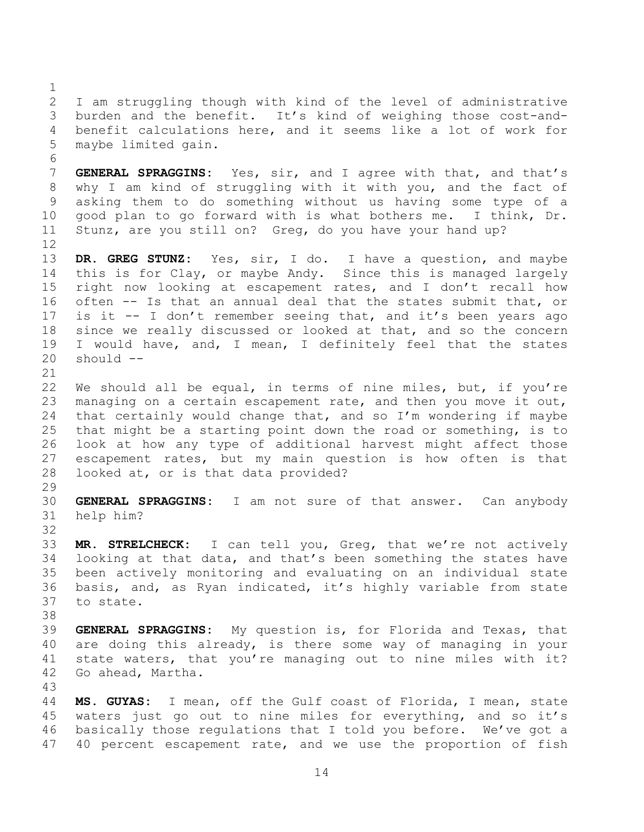$\frac{1}{2}$ 2 I am struggling though with kind of the level of administrative<br>3 burden and the benefit. It's kind of weighing those cost-andburden and the benefit. It's kind of weighing those cost-and-4 benefit calculations here, and it seems like a lot of work for<br>5 maybe limited gain. maybe limited gain.

6<br>7 GENERAL SPRAGGINS: Yes, sir, and I agree with that, and that's 8 why I am kind of struggling with it with you, and the fact of<br>9 asking them to do something without us having some type of a asking them to do something without us having some type of a<br>good plan to go forward with is what bothers me. I think, Dr. 10 good plan to go forward with is what bothers me.<br>11 Stunz, are vou still on? Greg, do vou have vour han Stunz, are you still on? Greg, do you have your hand up?

12<br>13 13 **DR. GREG STUNZ:** Yes, sir, I do. I have a question, and maybe 14 this is for Clay, or maybe Andy. Since this is managed largely<br>15 right now looking at escapement rates, and I don't recall how right now looking at escapement rates, and I don't recall how 16 often -- Is that an annual deal that the states submit that, or 17 is it -- I don't remember seeing that, and it's been years ago 18 since we really discussed or looked at that, and so the concern<br>19 I would have, and, I mean, I definitely feel that the states 19 I would have, and, I mean, I definitely feel that the states<br>20 should - $should --$ 

21<br>22 22 We should all be equal, in terms of nine miles, but, if you're<br>23 managing on a certain escapement rate, and then you move it out. 23 managing on a certain escapement rate, and then you move it out,<br>24 that certainly would change that, and so I'm wondering if maybe that certainly would change that, and so  $I'm$  wondering if maybe 25 that might be a starting point down the road or something, is to<br>26 look at how any type of additional harvest might affect those 26 look at how any type of additional harvest might affect those<br>27 escapement rates, but my main question is how often is that 27 escapement rates, but my main question is how often is that<br>28 looked at, or is that data provided? looked at, or is that data provided?

 $\frac{29}{30}$ 

30 **GENERAL SPRAGGINS:** I am not sure of that answer. Can anybody help him?

32<br>33

33 **MR. STRELCHECK:** I can tell you, Greg, that we're not actively 34 looking at that data, and that's been something the states have<br>35 been actively monitoring and evaluating on an individual state 35 been actively monitoring and evaluating on an individual state<br>36 basis, and, as Rvan indicated, it's highly variable from state 36 basis, and, as Ryan indicated, it's highly variable from state to state.

38<br>39 GENERAL SPRAGGINS: My question is, for Florida and Texas, that 40 are doing this already, is there some way of managing in your 41 state waters, that you're managing out to nine miles with it?<br>42 Go ahead, Martha. Go ahead, Martha.

43

44 **MS. GUYAS:** I mean, off the Gulf coast of Florida, I mean, state 45 waters just go out to nine miles for everything, and so it's<br>46 basically those regulations that I told you before. We've got a 46 basically those regulations that I told you before. We've got a<br>47 40 percent escapement rate, and we use the proportion of fish 40 percent escapement rate, and we use the proportion of fish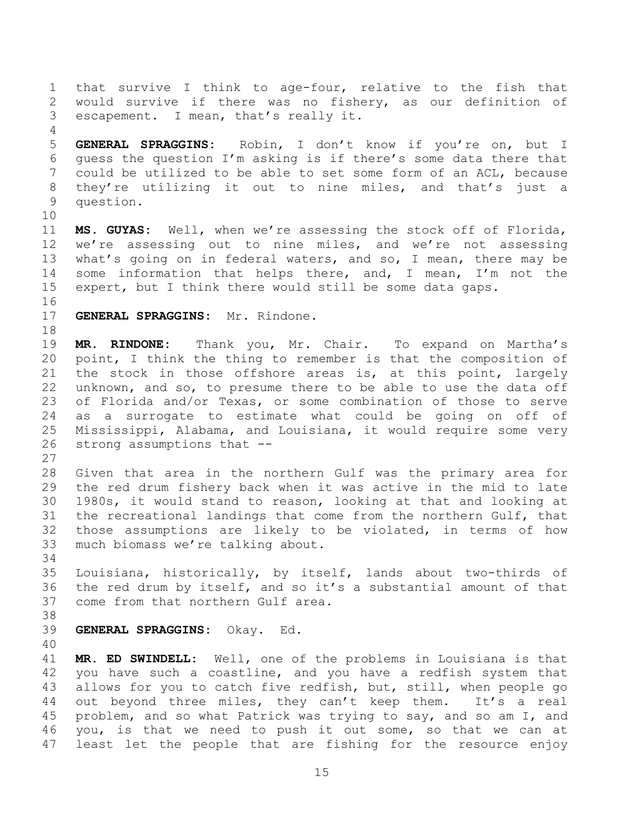1 that survive I think to age-four, relative to the fish that<br>2 would survive if there was no fishery, as our definition of 2 would survive if there was no fishery, as our definition of<br>3 escapement. I mean, that's really it. escapement. I mean, that's really it. 4<br>5 5 **GENERAL SPRAGGINS:** Robin, I don't know if you're on, but I 6 guess the question I'm asking is if there's some data there that could be utilized to be able to set some form of an ACL, because 8 they're utilizing it out to nine miles, and that's just a<br>9 question. question. 10<br>11 11 **MS. GUYAS:** Well, when we're assessing the stock off of Florida, 12 we're assessing out to nine miles, and we're not assessing<br>13 what's going on in federal waters, and so, I mean, there may be 13 what's going on in federal waters, and so, I mean, there may be<br>14 some information that helps there, and, I mean, I'm not the 14 some information that helps there, and, I mean, I'm not the<br>15 expert, but I think there would still be some data gaps. expert, but I think there would still be some data gaps. 16<br>17 GENERAL SPRAGGINS: Mr. Rindone. 18<br>19 19 **MR. RINDONE:** Thank you, Mr. Chair. To expand on Martha's 20 point, I think the thing to remember is that the composition of<br>21 the stock in those offshore areas is, at this point, largely 21 the stock in those offshore areas is, at this point, largely<br>22 unknown, and so, to presume there to be able to use the data off 22 unknown, and so, to presume there to be able to use the data off<br>23 of Florida and/or Texas, or some combination of those to serve 23 of Florida and/or Texas, or some combination of those to serve<br>24 as a surrogate to estimate what could be going on off of as a surrogate to estimate what could be going on off of 25 Mississippi, Alabama, and Louisiana, it would require some very<br>26 strong assumptions that -strong assumptions that  $-$ - $\frac{27}{28}$ 28 Given that area in the northern Gulf was the primary area for<br>29 the red drum fisherv back when it was active in the mid to late 29 the red drum fishery back when it was active in the mid to late<br>30 1980s, it would stand to reason, looking at that and looking at 30 1980s, it would stand to reason, looking at that and looking at<br>31 the recreational landings that come from the northern Gulf, that the recreational landings that come from the northern Gulf, that 32 those assumptions are likely to be violated, in terms of how 33 much biomass we're talking about. 34<br>35 35 Louisiana, historically, by itself, lands about two-thirds of<br>36 the red drum by itself, and so it's a substantial amount of that 36 the red drum by itself, and so it's a substantial amount of that<br>37 come from that northern Gulf area. come from that northern Gulf area. 38<br>39 39 **GENERAL SPRAGGINS:** Okay. Ed. 40 41 **MR. ED SWINDELL:** Well, one of the problems in Louisiana is that 42 you have such a coastline, and you have a redfish system that<br>43 allows for you to catch five redfish, but, still, when people go 43 allows for you to catch five redfish, but, still, when people go<br>44 out beyond three miles, they can't keep them. It's a real 44 out beyond three miles, they can't keep them.<br>45 problem, and so what Patrick was trying to say, an 45 problem, and so what Patrick was trying to say, and so am I, and<br>46 vou, is that we need to push it out some, so that we can at 46 you, is that we need to push it out some, so that we can at<br>47 least let the people that are fishing for the resource enjoy least let the people that are fishing for the resource enjoy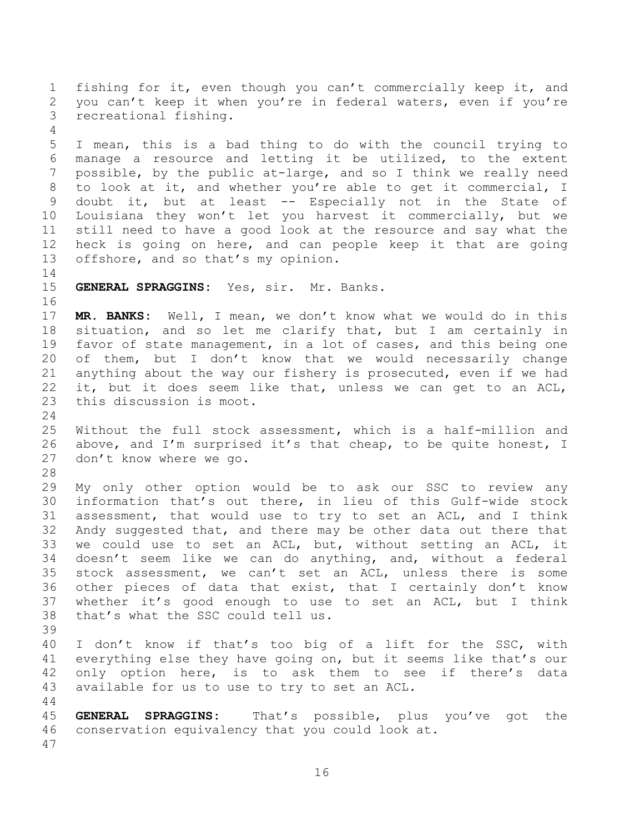1 fishing for it, even though you can't commercially keep it, and<br>2 you can't keep it when you're in federal waters, even if you're 2 you can't keep it when you're in federal waters, even if you're<br>3 recreational fishing. recreational fishing.

4<br>5 5 I mean, this is a bad thing to do with the council trying to<br>6 manage a resource and letting it be utilized, to the extent 6 manage a resource and letting it be utilized, to the extent<br>7 possible, by the public at-large, and so I think we really need possible, by the public at-large, and so I think we really need 8 to look at it, and whether you're able to get it commercial, I<br>9 doubt it, but at least -- Especially not in the State of doubt it, but at least -- Especially not in the State of 10 Louisiana they won't let you harvest it commercially, but we 11 still need to have a good look at the resource and say what the<br>12 heck is going on here, and can people keep it that are going 12 heck is going on here, and can people keep it that are going<br>13 offshore, and so that's my opinion. offshore, and so that's my opinion.

 $\begin{array}{c} 14 \\ 15 \end{array}$ 15 **GENERAL SPRAGGINS:** Yes, sir. Mr. Banks.

16

24

17 **MR. BANKS:** Well, I mean, we don't know what we would do in this 18 situation, and so let me clarify that, but I am certainly in<br>19 favor of state management, in a lot of cases, and this being one 19 favor of state management, in a lot of cases, and this being one<br>20 of them, but I don't know that we would necessarily change 20 of them, but I don't know that we would necessarily change<br>21 anything about the way our fishery is prosecuted, even if we had 21 anything about the way our fishery is prosecuted, even if we had<br>22 it, but it does seem like that, unless we can get to an ACL, 22 it, but it does seem like that, unless we can get to an ACL,<br>23 this discussion is moot. this discussion is moot.

25 Without the full stock assessment, which is a half-million and<br>26 above, and I'm surprised it's that cheap, to be quite honest, I 26 above, and I'm surprised it's that cheap, to be quite honest, I<br>27 don't know where we go. don't know where we go.

28<br>29 29 My only other option would be to ask our SSC to review any<br>30 information that's out there, in lieu of this Gulf-wide stock 30 information that's out there, in lieu of this Gulf-wide stock<br>31 assessment, that would use to try to set an ACL, and I think assessment, that would use to try to set an ACL, and I think 32 Andy suggested that, and there may be other data out there that 33 we could use to set an ACL, but, without setting an ACL, it<br>34 doesn't seem like we can do anything, and, without a federal 34 doesn't seem like we can do anything, and, without a federal<br>35 stock assessment, we can't set an ACL, unless there is some 35 stock assessment, we can't set an ACL, unless there is some<br>36 other pieces of data that exist, that I certainly don't know 36 other pieces of data that exist, that I certainly don't know<br>37 whether it's good enough to use to set an ACL, but I think 37 whether it's good enough to use to set an ACL, but I think<br>38 that's what the SSC could tell us. that's what the SSC could tell us.

40 I don't know if that's too big of a lift for the SSC, with 41 everything else they have going on, but it seems like that's our<br>42 only option here, is to ask them to see if there's data 42 only option here, is to ask them to see if there's data<br>43 available for us to use to try to set an ACL. available for us to use to try to set an ACL.

44<br>45

39

45 **GENERAL SPRAGGINS:** That's possible, plus you've got the conservation equivalency that you could look at.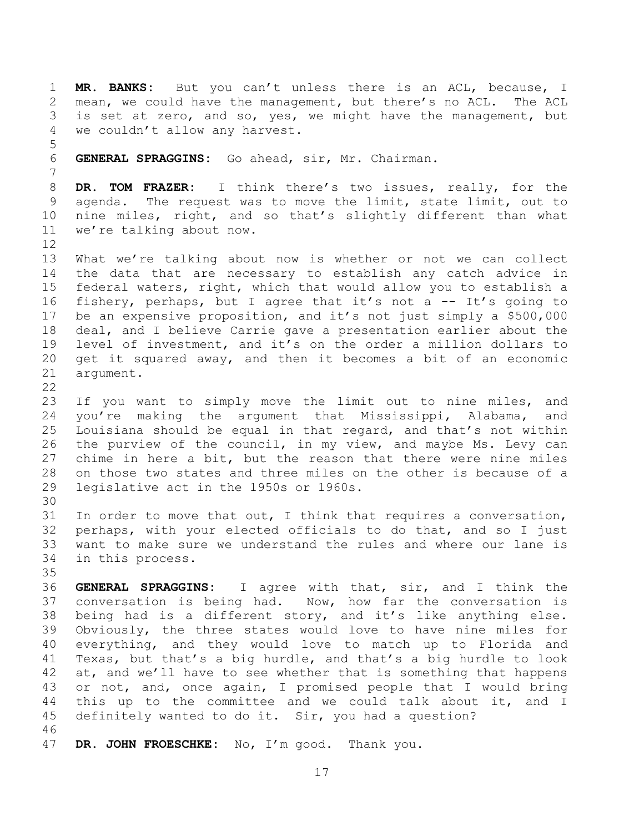1 **MR. BANKS:** But you can't unless there is an ACL, because, I 2 mean, we could have the management, but there's no ACL. The ACL<br>3 is set at zero, and so, yes, we might have the management, but 3 is set at zero, and so, yes, we might have the management, but<br>4 we couldn't allow any harvest. we couldn't allow any harvest.

5 6 **GENERAL SPRAGGINS:** Go ahead, sir, Mr. Chairman.

8 **DR. TOM FRAZER:** I think there's two issues, really, for the agenda. The request was to move the limit, state limit, out to 10 nine miles, right, and so that's slightly different than what<br>11 we're talking about now. we're talking about now.

7

12<br>13 13 What we're talking about now is whether or not we can collect<br>14 the data that are necessary to establish any catch advice in 14 the data that are necessary to establish any catch advice in<br>15 federal waters, right, which that would allow you to establish a federal waters, right, which that would allow you to establish a 16 fishery, perhaps, but I agree that it's not a -- It's going to 17 be an expensive proposition, and it's not just simply a \$500,000 18 deal, and I believe Carrie gave a presentation earlier about the<br>19 level of investment, and it's on the order a million dollars to 19 level of investment, and it's on the order a million dollars to<br>20 get it squared away, and then it becomes a bit of an economic 20 get it squared away, and then it becomes a bit of an economic<br>21 argument. argument.

 $\frac{22}{23}$ 

23 If you want to simply move the limit out to nine miles, and<br>24 you're making the argument that Mississippi, Alabama, and you're making the argument that Mississippi, Alabama, and 25 Louisiana should be equal in that regard, and that's not within<br>26 the purview of the council, in my view, and maybe Ms. Levy can 26 the purview of the council, in my view, and maybe Ms. Levy can<br>27 chime in here a bit, but the reason that there were nine miles 27 chime in here a bit, but the reason that there were nine miles<br>28 on those two states and three miles on the other is because of a 28 on those two states and three miles on the other is because of a<br>29 Iegislative act in the 1950s or 1960s. legislative act in the 1950s or 1960s.

30<br>31 In order to move that out, I think that requires a conversation, 32 perhaps, with your elected officials to do that, and so I just 33 want to make sure we understand the rules and where our lane is 34 in this process. in this process.

35<br>36 36 **GENERAL SPRAGGINS:** I agree with that, sir, and I think the 37 conversation is being had. Now, how far the conversation is<br>38 being had is a different story, and it's like anything else. 38 being had is a different story, and it's like anything else.<br>39 Obviously, the three states would love to have nine miles for Obviously, the three states would love to have nine miles for 40 everything, and they would love to match up to Florida and<br>41 Texas, but that's a big hurdle, and that's a big hurdle to look 41 Texas, but that's a big hurdle, and that's a big hurdle to look<br>42 at, and we'll have to see whether that is something that happens 42 at, and we'll have to see whether that is something that happens<br>43 or not, and, once again, I promised people that I would bring 43 or not, and, once again, I promised people that I would bring<br>44 this up to the committee and we could talk about it, and I 44 this up to the committee and we could talk about it, and I<br>45 definitely wanted to do it. Sir, you had a question? definitely wanted to do it. Sir, you had a question?

46<br>47 47 **DR. JOHN FROESCHKE:** No, I'm good. Thank you.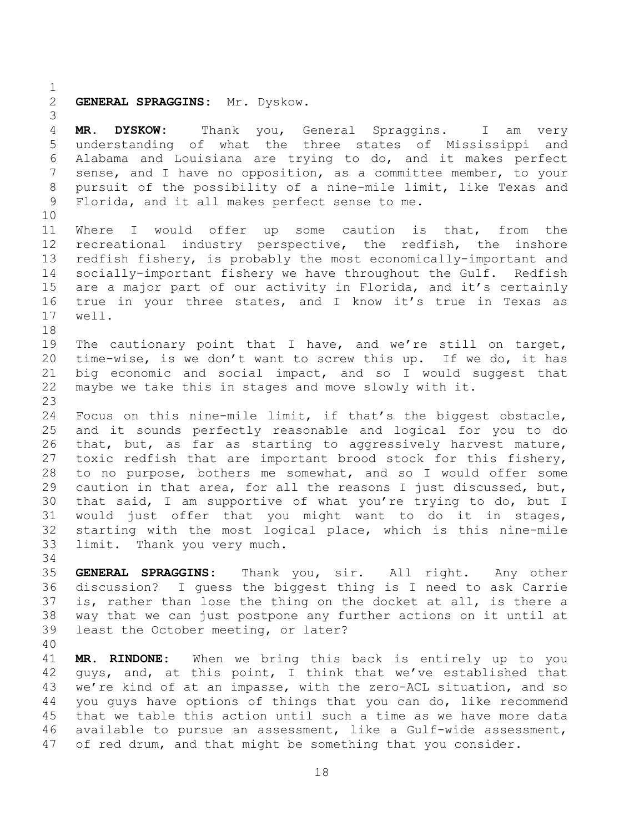$\frac{1}{2}$ 

#### 2 **GENERAL SPRAGGINS:** Mr. Dyskow.

3 4 **MR. DYSKOW:** Thank you, General Spraggins. I am very understanding of what the three states of Mississippi and 6 Alabama and Louisiana are trying to do, and it makes perfect<br>7 sense, and I have no opposition, as a committee member, to your sense, and I have no opposition, as a committee member, to your 8 pursuit of the possibility of a nine-mile limit, like Texas and<br>9 Florida, and it all makes perfect sense to me. Florida, and it all makes perfect sense to me. 10<br>11 11 Where I would offer up some caution is that, from the<br>12 recreational industry perspective, the redfish, the inshore 12 recreational industry perspective, the redfish, the inshore<br>13 redfish fishery, is probably the most economically-important and 13 redfish fishery, is probably the most economically-important and<br>14 socially-important fishery we have throughout the Gulf. Redfish 14 socially-important fishery we have throughout the Gulf. Redfish<br>15 are a major part of our activity in Florida, and it's certainly 15 are a major part of our activity in Florida, and it's certainly<br>16 true in your three states, and I know it's true in Texas as 16 true in your three states, and I know it's true in Texas as 17 well. well. 18<br>19 19 The cautionary point that I have, and we're still on target,<br>20 time-wise, is we don't want to screw this up. If we do, it has 20 time-wise, is we don't want to screw this up. If we do, it has<br>21 big economic and social impact, and so I would suggest that 21 big economic and social impact, and so I would suggest that<br>22 maybe we take this in stages and move slowly with it. maybe we take this in stages and move slowly with it. 23 Focus on this nine-mile limit, if that's the biggest obstacle, 25 and it sounds perfectly reasonable and logical for you to do<br>26 that, but, as far as starting to aggressively harvest mature, 26 that, but, as far as starting to aggressively harvest mature,<br>27 toxic redfish that are important brood stock for this fisherv, 27 toxic redfish that are important brood stock for this fishery,<br>28 to no purpose, bothers me somewhat, and so I would offer some 28 to no purpose, bothers me somewhat, and so I would offer some<br>29 caution in that area, for all the reasons I just discussed, but, 29 caution in that area, for all the reasons I just discussed, but,<br>30 that said, I am supportive of what you're trying to do, but I 30 that said, I am supportive of what you're trying to do, but I<br>31 would just offer that you might want to do it in stages, would just offer that you might want to do it in stages, 32 starting with the most logical place, which is this nine-mile<br>33 limit. Thank you very much. limit. Thank you very much. 34<br>35 35 **GENERAL SPRAGGINS:** Thank you, sir. All right. Any other 36 discussion? I guess the biggest thing is I need to ask Carrie<br>37 is, rather than lose the thing on the docket at all, is there a 37 is, rather than lose the thing on the docket at all, is there a<br>38 way that we can just postpone any further actions on it until at 38 way that we can just postpone any further actions on it until at<br>39 least the October meeting, or later?

40

41 **MR. RINDONE:** When we bring this back is entirely up to you 42 guys, and, at this point, I think that we've established that<br>43 we're kind of at an impasse, with the zero-ACL situation, and so 43 we're kind of at an impasse, with the zero-ACL situation, and so<br>44 vou guys have options of things that you can do, like recommend 44 you guys have options of things that you can do, like recommend<br>45 that we table this action until such a time as we have more data 45 that we table this action until such a time as we have more data<br>46 available to pursue an assessment, like a Gulf-wide assessment, 46 available to pursue an assessment, like a Gulf-wide assessment,<br>47 of red drum, and that might be something that you consider. of red drum, and that might be something that you consider.

least the October meeting, or later?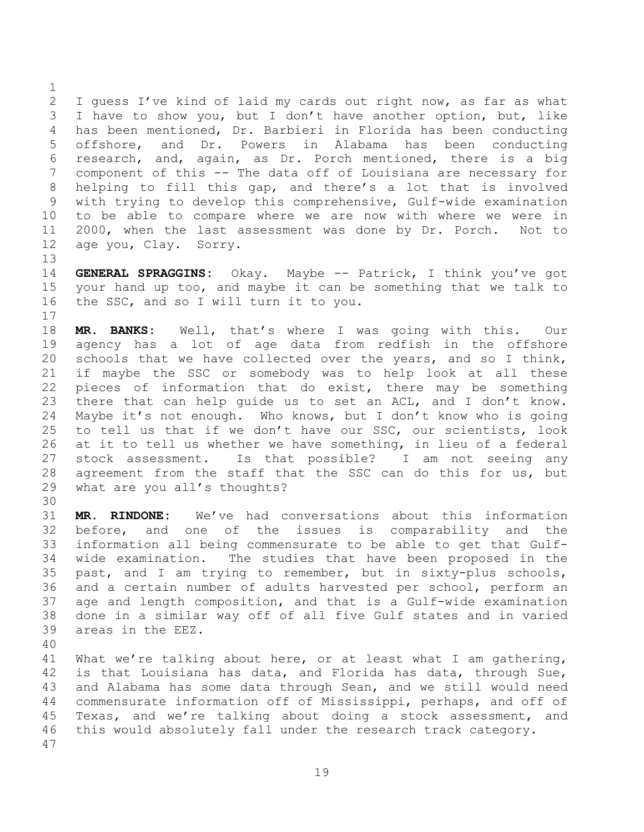$\frac{1}{2}$ 2 I guess I've kind of laid my cards out right now, as far as what<br>3 I have to show you, but I don't have another option, but, like I have to show you, but I don't have another option, but, like 4 has been mentioned, Dr. Barbieri in Florida has been conducting<br>5 offshore, and Dr. Powers in Alabama has been conducting and Dr. Powers in Alabama has 6 research, and, again, as Dr. Porch mentioned, there is a big<br>7 component of this -- The data off of Louisiana are necessary for component of this -- The data off of Louisiana are necessary for 8 helping to fill this gap, and there's a lot that is involved<br>9 with trying to develop this comprehensive, Gulf-wide examination with trying to develop this comprehensive, Gulf-wide examination 10 to be able to compare where we are now with where we were in<br>11 2000, when the last assessment was done by Dr. Porch. Not to 11 2000, when the last assessment was done by Dr. Porch.<br>12 age you, Clay. Sorry. age you, Clay.

13<br>14 14 **GENERAL SPRAGGINS:** Okay. Maybe -- Patrick, I think you've got<br>15 your hand up too, and maybe it can be something that we talk to 15 your hand up too, and maybe it can be something that we talk to 16 the SSC, and so I will turn it to you. the SSC, and so I will turn it to you.

18 **MR. BANKS:** Well, that's where I was going with this. Our 19 agency has a lot of age data from redfish in the offshore<br>20 schools that we have collected over the years, and so I think, 20 schools that we have collected over the years, and so I think,<br>21 if mavbe the SSC or somebody was to help look at all these 21 if maybe the SSC or somebody was to help look at all these<br>22 pieces of information that do exist, there may be something 22 pieces of information that do exist, there may be something<br>23 there that can help quide us to set an ACL, and I don't know. 23 there that can help guide us to set an ACL, and I don't know.<br>24 Maybe it's not enough. Who knows, but I don't know who is going Maybe it's not enough. Who knows, but I don't know who is going 25 to tell us that if we don't have our SSC, our scientists, look<br>26 at it to tell us whether we have something, in lieu of a federal 26 at it to tell us whether we have something, in lieu of a federal<br>27 stock assessment. Is that possible? I am not seeing any 27 stock assessment. Is that possible? I am not seeing any<br>28 agreement from the staff that the SSC can do this for us, but 28 agreement from the staff that the SSC can do this for us, but<br>29 what are vou all's thoughts? what are you all's thoughts?

30<br>31 31 **MR. RINDONE:** We've had conversations about this information 32 before, and one of the issues is comparability and the 33 information all being commensurate to be able to get that Gulf-34 wide examination. The studies that have been proposed in the<br>35 past, and I am trying to remember, but in sixty-plus schools, 35 past, and I am trying to remember, but in sixty-plus schools,<br>36 and a certain number of adults harvested per school, perform an 36 and a certain number of adults harvested per school, perform an<br>37 age and length composition, and that is a Gulf-wide examination 37 age and length composition, and that is a Gulf-wide examination<br>38 done in a similar way off of all five Gulf states and in varied 38 done in a similar way off of all five Gulf states and in varied areas in the EEZ.

40

17

41 What we're talking about here, or at least what I am gathering,<br>42 is that Louisiana has data, and Florida has data, through Sue, 42 is that Louisiana has data, and Florida has data, through Sue,<br>43 and Alabama has some data through Sean, and we still would need 43 and Alabama has some data through Sean, and we still would need<br>44 commensurate information off of Mississippi, perhaps, and off of 44 commensurate information off of Mississippi, perhaps, and off of<br>45 Texas, and we're talking about doing a stock assessment, and 45 Texas, and we're talking about doing a stock assessment, and<br>46 this would absolutely fall under the research track category. this would absolutely fall under the research track category. 47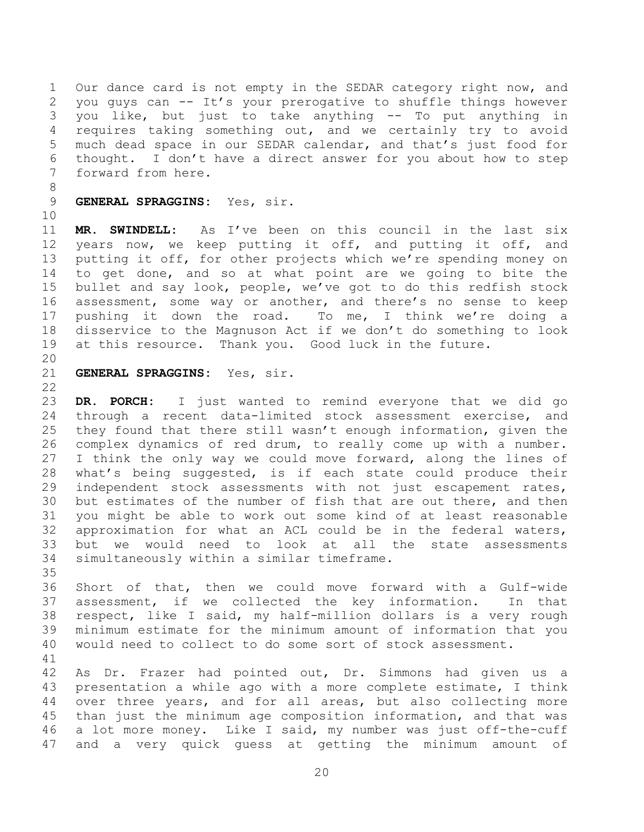1 Our dance card is not empty in the SEDAR category right now, and 2 you guys can -- It's your prerogative to shuffle things however<br>3 you like, but just to take anything -- To put anything in you like, but just to take anything -- To put anything in 4 requires taking something out, and we certainly try to avoid<br>5 much dead space in our SEDAR calendar, and that's just food for much dead space in our SEDAR calendar, and that's just food for 6 thought. I don't have a direct answer for you about how to step forward from here.

- 8 9 **GENERAL SPRAGGINS:** Yes, sir.
- 10<br>11

11 **MR. SWINDELL:** As I've been on this council in the last six 12 years now, we keep putting it off, and putting it off, and<br>13 putting it off, for other projects which we're spending money on 13 putting it off, for other projects which we're spending money on<br>14 to get done, and so at what point are we going to bite the 14 to get done, and so at what point are we going to bite the<br>15 bullet and say look, people, we've got to do this redfish stock bullet and say look, people, we've got to do this redfish stock 16 assessment, some way or another, and there's no sense to keep 17 pushing it down the road. To me, I think we're doing a 18 disservice to the Magnuson Act if we don't do something to look<br>19 at this resource. Thank vou. Good luck in the future. at this resource. Thank you. Good luck in the future.

- 20<br>21
- GENERAL SPRAGGINS: Yes, sir.

 $\frac{22}{23}$ 

23 **DR. PORCH:** I just wanted to remind everyone that we did go through a recent data-limited stock assessment exercise, and 25 they found that there still wasn't enough information, given the<br>26 complex dynamics of red drum, to really come up with a number. 26 complex dynamics of red drum, to really come up with a number.<br>27 I think the only way we could move forward, along the lines of 27 I think the only way we could move forward, along the lines of<br>28 what's being suggested, is if each state could produce their 28 what's being suggested, is if each state could produce their<br>29 independent stock assessments with not just escapement rates, 29 independent stock assessments with not just escapement rates,<br>30 but estimates of the number of fish that are out there, and then 30 but estimates of the number of fish that are out there, and then<br>31 vou might be able to work out some kind of at least reasonable you might be able to work out some kind of at least reasonable 32 approximation for what an ACL could be in the federal waters, 33 but we would need to look at all the state assessments<br>34 simultaneously within a similar timeframe. simultaneously within a similar timeframe.

35<br>36

36 Short of that, then we could move forward with a Gulf-wide<br>37 assessment, if we collected the key information. In that 37 assessment, if we collected the key information.<br>38 respect, like I said, my half-million dollars is a 38 respect, like I said, my half-million dollars is a very rough<br>39 minimum estimate for the minimum amount of information that you minimum estimate for the minimum amount of information that you 40 would need to collect to do some sort of stock assessment.

41<br>42 42 As Dr. Frazer had pointed out, Dr. Simmons had given us a<br>43 presentation a while ago with a more complete estimate, I think 43 presentation a while ago with a more complete estimate, I think<br>44 over three vears, and for all areas, but also collecting more 44 over three years, and for all areas, but also collecting more<br>45 than just the minimum age composition information, and that was 45 than just the minimum age composition information, and that was<br>46 a lot more money. Like I said, my number was just off-the-cuff 46 a lot more money. Like I said, my number was just off-the-cuff<br>47 and a very quick quess at qetting the minimum amount of and a very quick quess at getting the minimum amount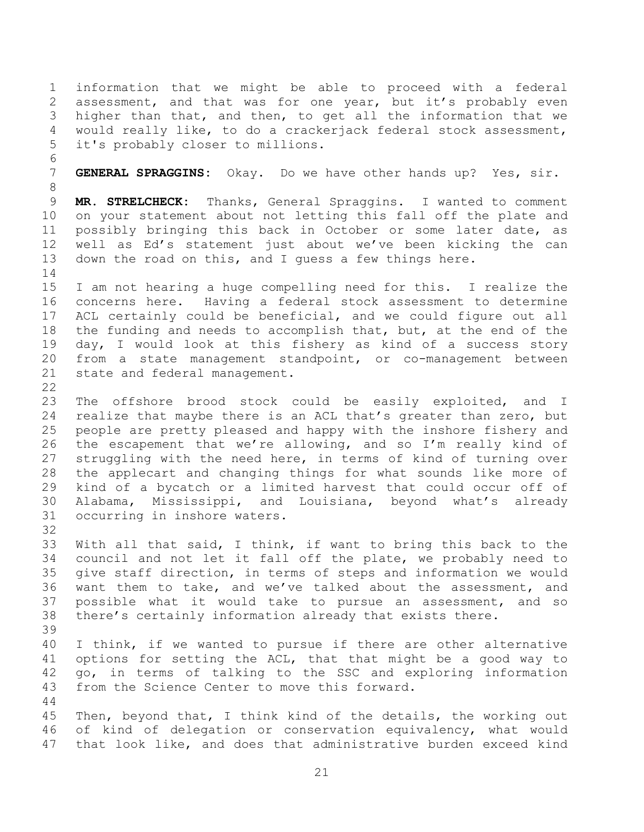1 information that we might be able to proceed with a federal 2 assessment, and that was for one year, but it's probably even<br>3 higher than that, and then, to get all the information that we higher than that, and then, to get all the information that we 4 would really like, to do a crackerjack federal stock assessment,<br>5 it's probably closer to millions. it's probably closer to millions.

GENERAL SPRAGGINS: Okay. Do we have other hands up? Yes, sir.

6<br>7

39

8<br>9 9 **MR. STRELCHECK:** Thanks, General Spraggins. I wanted to comment 10 on your statement about not letting this fall off the plate and<br>11 possibly bringing this back in October or some later date, as 11 possibly bringing this back in October or some later date, as<br>12 well as Ed's statement just about we've been kicking the can 12 well as Ed's statement just about we've been kicking the can<br>13 down the road on this, and I quess a few things here. down the road on this, and I guess a few things here.

14<br>15 I am not hearing a huge compelling need for this. I realize the 16 concerns here. Having a federal stock assessment to determine 17 ACL certainly could be beneficial, and we could figure out all 18 the funding and needs to accomplish that, but, at the end of the<br>19 day, I would look at this fishery as kind of a success story 19 day, I would look at this fishery as kind of a success story<br>20 from a state management standpoint, or co-management between 20 from a state management standpoint, or co-management between<br>21 state and federal management. state and federal management.

 $\frac{22}{23}$ 23 The offshore brood stock could be easily exploited, and I<br>24 realize that maybe there is an ACL that's greater than zero, but realize that maybe there is an ACL that's greater than zero, but 25 people are pretty pleased and happy with the inshore fishery and<br>26 the escapement that we're allowing, and so I'm really kind of 26 the escapement that we're allowing, and so I'm really kind of<br>27 struggling with the need here, in terms of kind of turning over 27 struggling with the need here, in terms of kind of turning over<br>28 the applecart and changing things for what sounds like more of 28 the applecart and changing things for what sounds like more of<br>29 kind of a bycatch or a limited harvest that could occur off of 29 kind of a bycatch or a limited harvest that could occur off of<br>30 Alabama, Mississippi, and Louisiana, bevond what's already 30 Alabama, Mississippi, and Louisiana, beyond what's already<br>31 occurring in inshore waters. occurring in inshore waters.

32<br>33 33 With all that said, I think, if want to bring this back to the<br>34 council and not let it fall off the plate, we probably need to 34 council and not let it fall off the plate, we probably need to<br>35 qive staff direction, in terms of steps and information we would 35 give staff direction, in terms of steps and information we would<br>36 want them to take, and we've talked about the assessment, and 36 want them to take, and we've talked about the assessment, and<br>37 possible what it would take to pursue an assessment, and so 37 possible what it would take to pursue an assessment, and so<br>38 there's certainly information already that exists there. there's certainly information already that exists there.

40 I think, if we wanted to pursue if there are other alternative 41 options for setting the ACL, that that might be a good way to<br>42 go, in terms of talking to the SSC and exploring information 42 go, in terms of talking to the SSC and exploring information<br>43 from the Science Center to move this forward. from the Science Center to move this forward.

44<br>45 45 Then, beyond that, I think kind of the details, the working out<br>46 of kind of delegation or conservation equivalency, what would 46 of kind of delegation or conservation equivalency, what would<br>47 that look like, and does that administrative burden exceed kind that look like, and does that administrative burden exceed kind